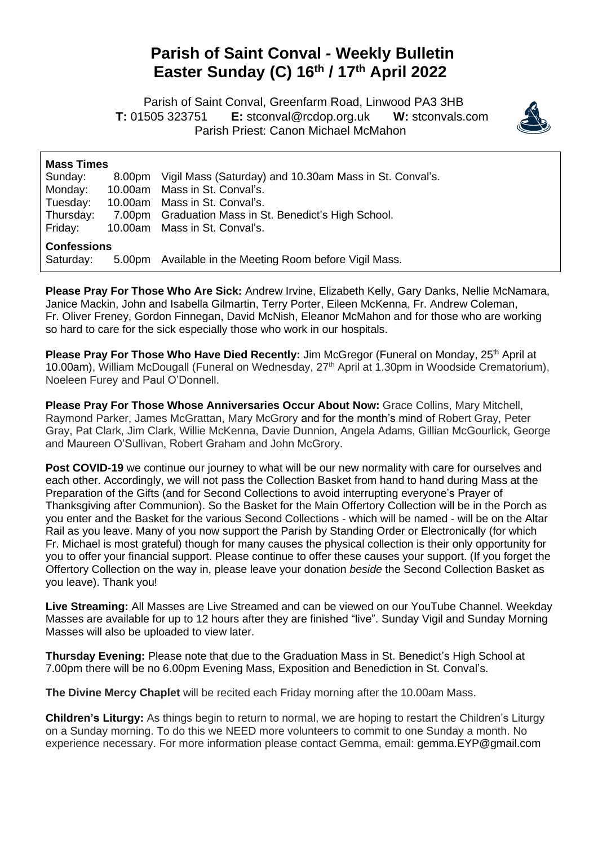## **Parish of Saint Conval - Weekly Bulletin Easter Sunday (C) 16th / 17 th April 2022**

 Parish of Saint Conval, Greenfarm Road, Linwood PA3 3HB **T:** 01505 323751 **E:** [stconval@rcdop.org.uk](mailto:stconval@rcdop.org.uk) **W:** stconvals.com Parish Priest: Canon Michael McMahon



| <b>Mass Times</b>  |  |                                                                |
|--------------------|--|----------------------------------------------------------------|
| Sunday:            |  | 8.00pm Vigil Mass (Saturday) and 10.30am Mass in St. Conval's. |
| Monday:            |  | 10.00am Mass in St. Conval's.                                  |
| Tuesday:           |  | 10.00am Mass in St. Conval's.                                  |
| Thursday:          |  | 7.00pm Graduation Mass in St. Benedict's High School.          |
| Friday:            |  | 10.00am Mass in St. Conval's.                                  |
| <b>Confessions</b> |  |                                                                |
| Saturday:          |  | 5.00pm Available in the Meeting Room before Vigil Mass.        |

**Please Pray For Those Who Are Sick:** Andrew Irvine, Elizabeth Kelly, Gary Danks, Nellie McNamara, Janice Mackin, John and Isabella Gilmartin, Terry Porter, Eileen McKenna, Fr. Andrew Coleman, Fr. Oliver Freney, Gordon Finnegan, David McNish, Eleanor McMahon and for those who are working so hard to care for the sick especially those who work in our hospitals.

**Please Pray For Those Who Have Died Recently:** Jim McGregor (Funeral on Monday, 25<sup>th</sup> April at 10.00am), William McDougall (Funeral on Wednesday, 27<sup>th</sup> April at 1.30pm in Woodside Crematorium), Noeleen Furey and Paul O'Donnell.

**Please Pray For Those Whose Anniversaries Occur About Now:** Grace Collins, Mary Mitchell, Raymond Parker, James McGrattan, Mary McGrory and for the month's mind of Robert Gray, Peter Gray, Pat Clark, Jim Clark, Willie McKenna, Davie Dunnion, Angela Adams, Gillian McGourlick, George and Maureen O'Sullivan, Robert Graham and John McGrory.

**Post COVID-19** we continue our journey to what will be our new normality with care for ourselves and each other. Accordingly, we will not pass the Collection Basket from hand to hand during Mass at the Preparation of the Gifts (and for Second Collections to avoid interrupting everyone's Prayer of Thanksgiving after Communion). So the Basket for the Main Offertory Collection will be in the Porch as you enter and the Basket for the various Second Collections - which will be named - will be on the Altar Rail as you leave. Many of you now support the Parish by Standing Order or Electronically (for which Fr. Michael is most grateful) though for many causes the physical collection is their only opportunity for you to offer your financial support. Please continue to offer these causes your support. (If you forget the Offertory Collection on the way in, please leave your donation *beside* the Second Collection Basket as you leave). Thank you!

**Live Streaming:** All Masses are Live Streamed and can be viewed on our YouTube Channel. Weekday Masses are available for up to 12 hours after they are finished "live". Sunday Vigil and Sunday Morning Masses will also be uploaded to view later.

**Thursday Evening:** Please note that due to the Graduation Mass in St. Benedict's High School at 7.00pm there will be no 6.00pm Evening Mass, Exposition and Benediction in St. Conval's.

**The Divine Mercy Chaplet** will be recited each Friday morning after the 10.00am Mass.

**Children's Liturgy:** As things begin to return to normal, we are hoping to restart the Children's Liturgy on a Sunday morning. To do this we NEED more volunteers to commit to one Sunday a month. No experience necessary. For more information please contact Gemma, email: [gemma.EYP@gmail.com](mailto:gemma.scott0808@gmail.com)